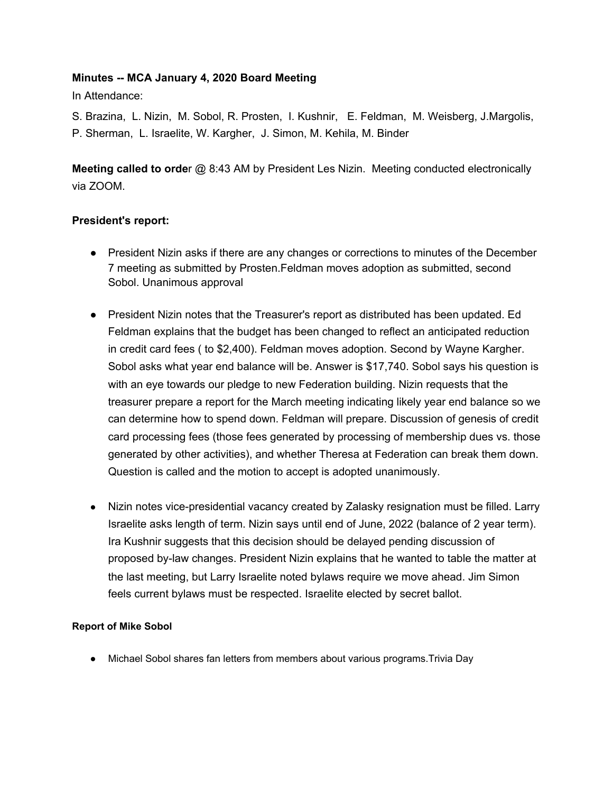# **Minutes -- MCA January 4, 2020 Board Meeting**

In Attendance:

S. Brazina, L. Nizin, M. Sobol, R. Prosten, I. Kushnir, E. Feldman, M. Weisberg, J.Margolis, P. Sherman, L. Israelite, W. Kargher, J. Simon, M. Kehila, M. Binder

**Meeting called to orde**r @ 8:43 AM by President Les Nizin. Meeting conducted electronically via ZOOM.

# **President's report:**

- President Nizin asks if there are any changes or corrections to minutes of the December 7 meeting as submitted by Prosten.Feldman moves adoption as submitted, second Sobol. Unanimous approval
- President Nizin notes that the Treasurer's report as distributed has been updated. Ed Feldman explains that the budget has been changed to reflect an anticipated reduction in credit card fees ( to \$2,400). Feldman moves adoption. Second by Wayne Kargher. Sobol asks what year end balance will be. Answer is \$17,740. Sobol says his question is with an eye towards our pledge to new Federation building. Nizin requests that the treasurer prepare a report for the March meeting indicating likely year end balance so we can determine how to spend down. Feldman will prepare. Discussion of genesis of credit card processing fees (those fees generated by processing of membership dues vs. those generated by other activities), and whether Theresa at Federation can break them down. Question is called and the motion to accept is adopted unanimously.
- Nizin notes vice-presidential vacancy created by Zalasky resignation must be filled. Larry Israelite asks length of term. Nizin says until end of June, 2022 (balance of 2 year term). Ira Kushnir suggests that this decision should be delayed pending discussion of proposed by-law changes. President Nizin explains that he wanted to table the matter at the last meeting, but Larry Israelite noted bylaws require we move ahead. Jim Simon feels current bylaws must be respected. Israelite elected by secret ballot.

# **Report of Mike Sobol**

● Michael Sobol shares fan letters from members about various programs.Trivia Day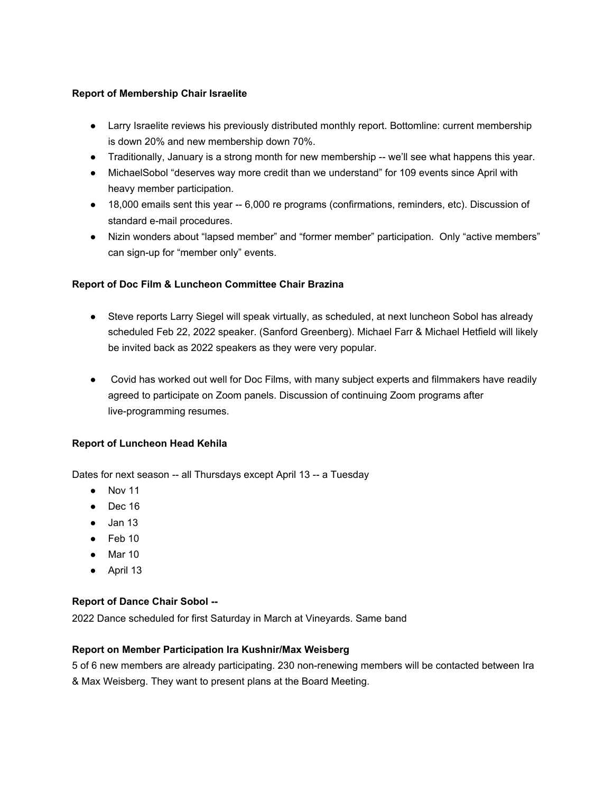## **Report of Membership Chair Israelite**

- Larry Israelite reviews his previously distributed monthly report. Bottomline: current membership is down 20% and new membership down 70%.
- Traditionally, January is a strong month for new membership -- we'll see what happens this year.
- MichaelSobol "deserves way more credit than we understand" for 109 events since April with heavy member participation.
- 18,000 emails sent this year -- 6,000 re programs (confirmations, reminders, etc). Discussion of standard e-mail procedures.
- Nizin wonders about "lapsed member" and "former member" participation. Only "active members" can sign-up for "member only" events.

# **Report of Doc Film & Luncheon Committee Chair Brazina**

- Steve reports Larry Siegel will speak virtually, as scheduled, at next luncheon Sobol has already scheduled Feb 22, 2022 speaker. (Sanford Greenberg). Michael Farr & Michael Hetfield will likely be invited back as 2022 speakers as they were very popular.
- Covid has worked out well for Doc Films, with many subject experts and filmmakers have readily agreed to participate on Zoom panels. Discussion of continuing Zoom programs after live-programming resumes.

## **Report of Luncheon Head Kehila**

Dates for next season -- all Thursdays except April 13 -- a Tuesday

- Nov 11
- Dec 16
- Jan 13
- $\bullet$  Feb 10
- Mar 10
- April 13

## **Report of Dance Chair Sobol --**

2022 Dance scheduled for first Saturday in March at Vineyards. Same band

## **Report on Member Participation Ira Kushnir/Max Weisberg**

5 of 6 new members are already participating. 230 non-renewing members will be contacted between Ira & Max Weisberg. They want to present plans at the Board Meeting.